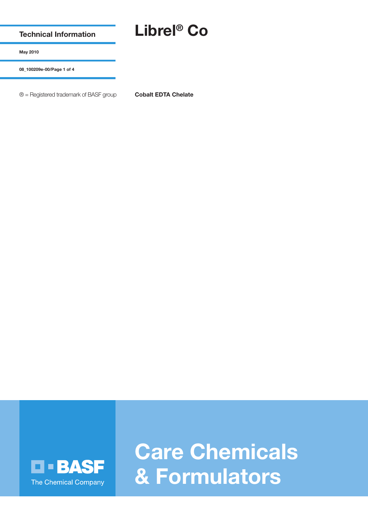**Technical Information**

## **Librel® Co**

**May 2010**

**08\_100209e-00/Page 1 of 4**

® = Registered trademark of BASF group **Cobalt EDTA Chelate**



**Care Chemicals & Formulators**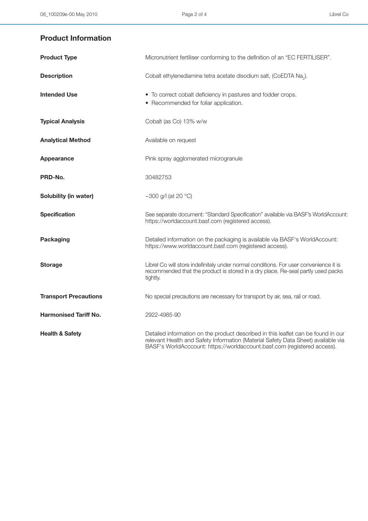## **Product Information**

| <b>Product Type</b>          | Micronutrient fertiliser conforming to the definition of an "EC FERTILISER".                                                                                                                                                                       |
|------------------------------|----------------------------------------------------------------------------------------------------------------------------------------------------------------------------------------------------------------------------------------------------|
| <b>Description</b>           | Cobalt ethylenediamine tetra acetate disodium salt, (CoEDTA Na <sub>2</sub> ).                                                                                                                                                                     |
| <b>Intended Use</b>          | • To correct cobalt deficiency in pastures and fodder crops.<br>• Recommended for foliar application.                                                                                                                                              |
| <b>Typical Analysis</b>      | Cobalt (as Co) 13% w/w                                                                                                                                                                                                                             |
| <b>Analytical Method</b>     | Available on request                                                                                                                                                                                                                               |
| Appearance                   | Pink spray agglomerated microgranule                                                                                                                                                                                                               |
| PRD-No.                      | 30482753                                                                                                                                                                                                                                           |
| Solubility (in water)        | ~300 g/l (at 20 $^{\circ}$ C)                                                                                                                                                                                                                      |
| <b>Specification</b>         | See separate document: "Standard Specification" available via BASF's WorldAccount:<br>https://worldaccount.basf.com (registered access).                                                                                                           |
| <b>Packaging</b>             | Detailed information on the packaging is available via BASF's WorldAccount:<br>https://www.worldaccount.basf.com (registered access).                                                                                                              |
| <b>Storage</b>               | Librel Co will store indefinitely under normal conditions. For user convenience it is<br>recommended that the product is stored in a dry place. Re-seal partly used packs<br>tightly.                                                              |
| <b>Transport Precautions</b> | No special precautions are necessary for transport by air, sea, rail or road.                                                                                                                                                                      |
| <b>Harmonised Tariff No.</b> | 2922-4985-90                                                                                                                                                                                                                                       |
| <b>Health &amp; Safety</b>   | Detailed information on the product described in this leaflet can be found in our<br>relevant Health and Safety Information (Material Safety Data Sheet) available via<br>BASF's WorldAcccount: https://worldaccount.basf.com (registered access). |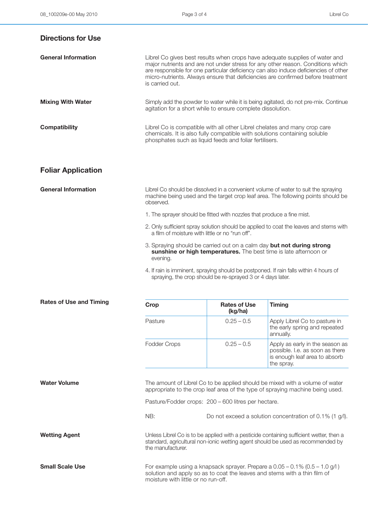| <b>Directions for Use</b>      |                                                                                                                                                                                                                  |                                |                                                                                                                                                                                                                                                                                                                                          |
|--------------------------------|------------------------------------------------------------------------------------------------------------------------------------------------------------------------------------------------------------------|--------------------------------|------------------------------------------------------------------------------------------------------------------------------------------------------------------------------------------------------------------------------------------------------------------------------------------------------------------------------------------|
| <b>General Information</b>     | is carried out.                                                                                                                                                                                                  |                                | Librel Co gives best results when crops have adequate supplies of water and<br>major nutrients and are not under stress for any other reason. Conditions which<br>are responsible for one particular deficiency can also induce deficiencies of other<br>micro-nutrients. Always ensure that deficiencies are confirmed before treatment |
| <b>Mixing With Water</b>       | agitation for a short while to ensure complete dissolution.                                                                                                                                                      |                                | Simply add the powder to water while it is being agitated, do not pre-mix. Continue                                                                                                                                                                                                                                                      |
| <b>Compatibility</b>           | Librel Co is compatible with all other Librel chelates and many crop care<br>chemicals. It is also fully compatible with solutions containing soluble<br>phosphates such as liquid feeds and foliar fertilisers. |                                |                                                                                                                                                                                                                                                                                                                                          |
| <b>Foliar Application</b>      |                                                                                                                                                                                                                  |                                |                                                                                                                                                                                                                                                                                                                                          |
| <b>General Information</b>     | Librel Co should be dissolved in a convenient volume of water to suit the spraying<br>machine being used and the target crop leaf area. The following points should be<br>observed.                              |                                |                                                                                                                                                                                                                                                                                                                                          |
|                                | 1. The sprayer should be fitted with nozzles that produce a fine mist.                                                                                                                                           |                                |                                                                                                                                                                                                                                                                                                                                          |
|                                | a film of moisture with little or no "run off".                                                                                                                                                                  |                                | 2. Only sufficient spray solution should be applied to coat the leaves and stems with                                                                                                                                                                                                                                                    |
|                                | 3. Spraying should be carried out on a calm day but not during strong<br>sunshine or high temperatures. The best time is late afternoon or<br>evening.                                                           |                                |                                                                                                                                                                                                                                                                                                                                          |
|                                | spraying, the crop should be re-sprayed 3 or 4 days later.                                                                                                                                                       |                                | 4. If rain is imminent, spraying should be postponed. If rain falls within 4 hours of                                                                                                                                                                                                                                                    |
| <b>Rates of Use and Timing</b> | Crop                                                                                                                                                                                                             | <b>Rates of Use</b><br>(kg/ha) | <b>Timing</b>                                                                                                                                                                                                                                                                                                                            |
|                                | Pasture                                                                                                                                                                                                          | $0.25 - 0.5$                   | Apply Librel Co to pasture in<br>the early spring and repeated<br>annually.                                                                                                                                                                                                                                                              |
|                                | Fodder Crops                                                                                                                                                                                                     | $0.25 - 0.5$                   | Apply as early in the season as<br>possible. I.e. as soon as there<br>is enough leaf area to absorb<br>the spray.                                                                                                                                                                                                                        |
| <b>Water Volume</b>            |                                                                                                                                                                                                                  |                                | The amount of Librel Co to be applied should be mixed with a volume of water<br>appropriate to the crop leaf area of the type of spraying machine being used.                                                                                                                                                                            |

Pasture/Fodder crops: 200 – 600 litres per hectare.

NB: Do not exceed a solution concentration of 0.1% (1 g/l).

Wetting Agent **Wetting Agent** Unless Librel Co is to be applied with a pesticide containing sufficient wetter, then a standard, agricultural non-ionic wetting agent should be used as recommended by the manufacturer.

**Small Scale Use** For example using a knapsack sprayer. Prepare a 0.05 – 0.1% (0.5 – 1.0 g/l) solution and apply so as to coat the leaves and stems with a thin film of moisture with little or no run-off.